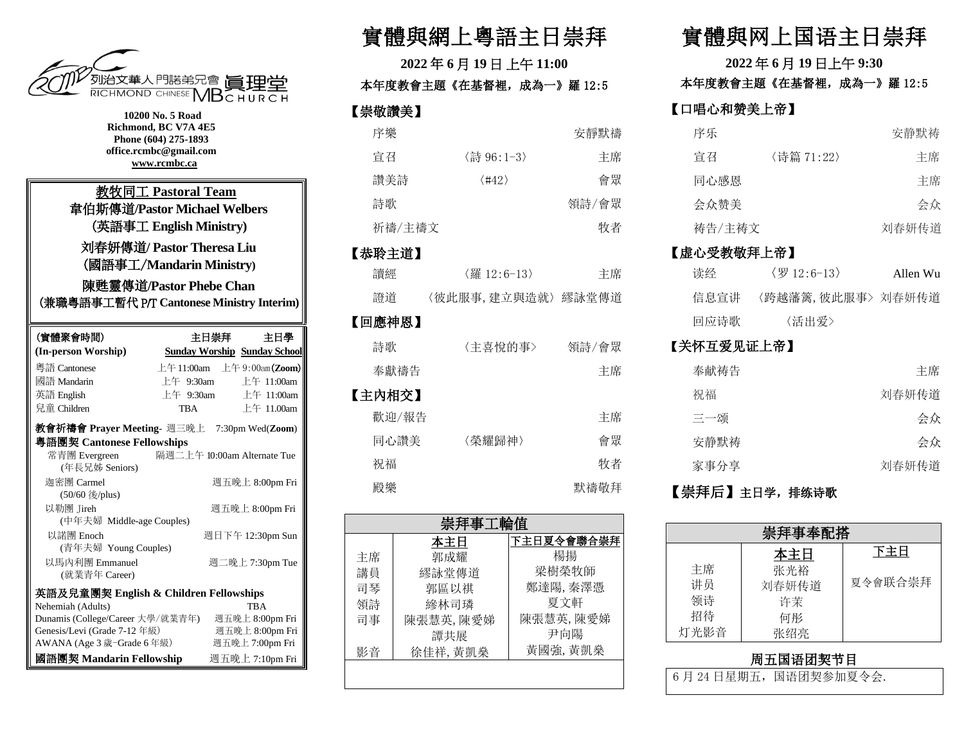

| 10200 No. 5 Road<br>Richmond, BC V7A 4E5<br>Phone (604) 275-1893<br>office.rcmbc@gmail.com<br>www.rcmbc.ca |                                     |  |
|------------------------------------------------------------------------------------------------------------|-------------------------------------|--|
| 教牧同工 Pastoral Team<br>韋伯斯傳道/Pastor Michael Welbers<br>(英語事工 English Ministry)                              |                                     |  |
| 刘春妍傳道/ Pastor Theresa Liu<br>(國語事工/Mandarin Ministry)                                                      |                                     |  |
|                                                                                                            | 陳甦靈傳道/Pastor Phebe Chan             |  |
| (兼職粵語事工暫代 P/T Cantonese Ministry Interim)                                                                  |                                     |  |
| (實體聚會時間)                                                                                                   | 主日崇拜<br>主日學                         |  |
| (In-person Worship)                                                                                        | <b>Sunday Worship Sunday School</b> |  |
| 粵語 Cantonese                                                                                               | 上午 11:00am 上午 9:00am(Zoom)          |  |
| 國語 Mandarin                                                                                                | 上午 9:30am<br>上午 11:00 $am$          |  |
| 英語 English                                                                                                 | 上午 9:30am<br>上午 11:00am             |  |
| 兒童 Children                                                                                                | 上午 11.00am<br>TBA                   |  |
| 教會祈禱會 Prayer Meeting- 週三晚上 7:30pm Wed(Zoom)                                                                |                                     |  |
| 粵語團契 Cantonese Fellowships                                                                                 |                                     |  |
| 常青團 Evergreen<br>(年長兄姊 Seniors)                                                                            | 隔週二上午 10:00am Alternate Tue         |  |
| 迦密團 Carmel<br>(50/60 後/plus)                                                                               | 週五晚上 8:00pm Fri                     |  |
| 以勒團 Jireh<br>(中年夫婦 Middle-age Couples)                                                                     | 週五晚上 8:00pm Fri                     |  |
| 以諾團 Enoch<br>(青年夫婦 Young Couples)                                                                          | 週日下午 12:30pm Sun                    |  |
| 以馬內利團 Emmanuel<br>(就業青年 Career)                                                                            | 週二晚上 7:30pm Tue                     |  |
| 英語及兒童團契 English & Children Fellowships                                                                     |                                     |  |
| Nehemiah (Adults)                                                                                          | <b>TBA</b>                          |  |
| Dunamis (College/Career 大學/就業青年)                                                                           | 週五晚上 8:00pm Fri                     |  |
| Genesis/Levi (Grade 7-12年級)                                                                                | 週五晚上 8:00pm Fri                     |  |
| AWANA (Age 3 歲-Grade 6 年級)                                                                                 | 週五晚上 7:00pm Fri                     |  |
| 國語團契 Mandarin Fellowship                                                                                   | 週五晚上 7:10pm Fri                     |  |

## 實體與網上粵語主日崇拜

**2022** 年 **6** 月 **19** 日 上午 **11:00**  本年度教會主題《在基督裡,成為一》羅 12:5 【崇敬讚美】 序樂 おおとこ おおおし 安靜默禱

| 宣召     | 〈詩 96:1-3〉            | 主席    |
|--------|-----------------------|-------|
| 讚美詩    | $\langle 442 \rangle$ | 會眾    |
| 詩歌     |                       | 領詩/會眾 |
| 祈禱/主禱文 |                       | 牧者    |
| 【恭聆主道】 |                       |       |
| 讀經     | 〈羅 12:6-13〉           | 主席    |
| 諮道     | 〈彼此服事,建立與造就〉繆詠堂傳道     |       |
| 【回應神恩】 |                       |       |

## 詩歌 〈主喜悅的事> 領詩/會眾 奉獻禱告 さいちょう こうしょう 主席 【主內相交】 歡迎/報告 またま こうしょう エンストラン 主席 同心讚美 〈榮耀歸神〉 會眾 祝福 しょうしゃ しゅうしゃ ウィッシュ 牧者 殿樂 默禱敬拜

| 崇拜事工輪值 |          |            |
|--------|----------|------------|
|        | 本主日      | 下主日夏令會聯合崇拜 |
| 主席     | 郭成耀      | 楊揚         |
| 講員     | 繆詠堂傳道    | 梁樹榮牧師      |
| 司琴     | 郭區以祺     | 鄭達陽,秦澤憑    |
| 領詩     | 縿林司璘     | 夏文軒        |
| 司事     | 陳張慧英,陳愛娣 | 陳張慧英,陳愛娣   |
|        | 譚共展      | 尹向陽        |
| 影音     | 徐佳祥, 黃凱燊 | 黃國強,黃凱燊    |
|        |          |            |
|        |          |            |

# 實體與网上国语主日崇拜

**2022** 年 **6** 月 **19** 日上午 **9:30** 

本年度教會主題《在基督裡,成為一》羅 12:5

#### 【口唱心和赞美上帝】

| 序乐     |            | 安静默祷  |
|--------|------------|-------|
| 宣召     | 〈诗篇 71:22〉 | 主席    |
| 同心感恩   |            | 主席    |
| 会众赞美   |            | 会众    |
| 祷告/主祷文 |            | 刘春妍传道 |

#### 【虚心受教敬拜上帝】

| 读经   | $\langle \boxtimes 12: 6-13 \rangle$ | Allen Wu |
|------|--------------------------------------|----------|
| 信息宣讲 | 〈跨越藩篱,彼此服事〉 刘春妍传道                    |          |
| 回应诗歌 | 〈活出爱〉                                |          |

#### 【关怀互爱见证上帝】

| 奉献祷告 | 主席    |
|------|-------|
| 祝福   | 刘春妍传道 |
| 三一颂  | 会众    |
| 安静默祷 | 会众    |
| 家事分享 | 刘春妍传道 |
|      |       |

#### 【崇拜后】主日学,排练诗歌

| 崇拜事奉配搭   |            |         |
|----------|------------|---------|
| 主席       | 本主日<br>张光裕 | 下主日     |
| 讲员       | 刘春妍传道      | 夏令會联合崇拜 |
| 领诗<br>招待 | 许茉<br>何形   |         |
| 灯光影音     | 张绍亮        |         |

### 周五国语团契节目

6月24日星期五,国语团契参加夏令会.